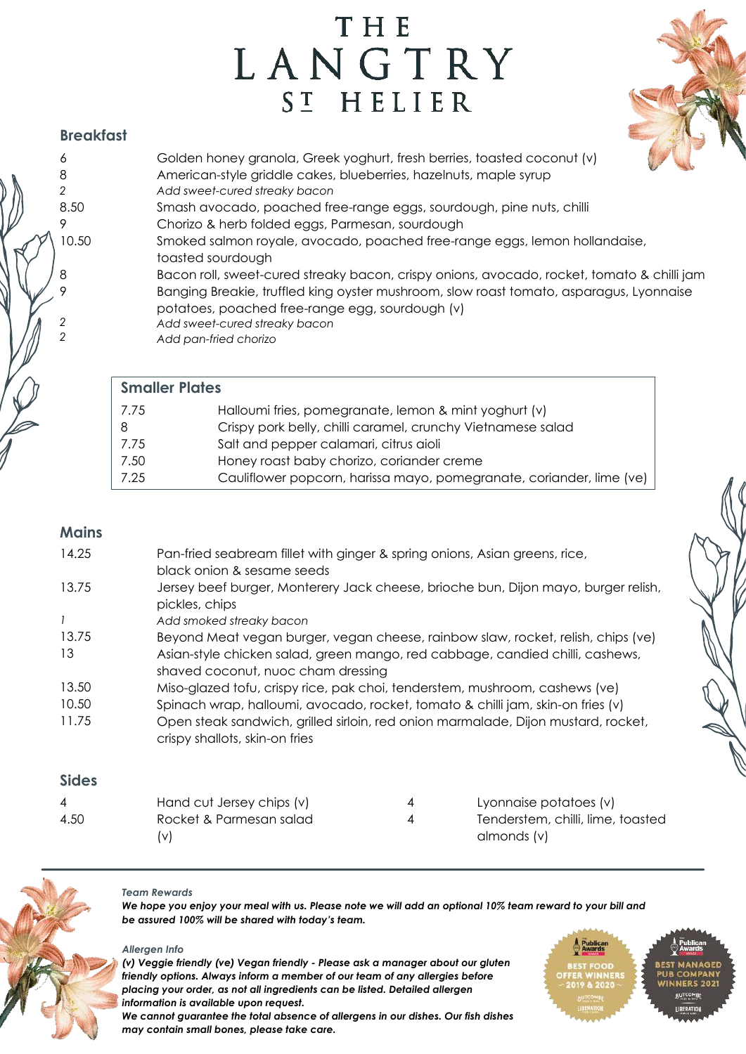# THE LANGTRY SI HELIER



## **Breakfast**

| 6     | Golden honey granola, Greek yoghurt, fresh berries, toasted coconut (v)                                                                    |
|-------|--------------------------------------------------------------------------------------------------------------------------------------------|
| 8     | American-style griddle cakes, blueberries, hazelnuts, maple syrup                                                                          |
| 2     | Add sweet-cured streaky bacon                                                                                                              |
| 8.50  | Smash avocado, poached free-range eggs, sourdough, pine nuts, chilli                                                                       |
| 9     | Chorizo & herb folded eggs, Parmesan, sourdough                                                                                            |
| 10.50 | Smoked salmon royale, avocado, poached free-range eggs, lemon hollandaise,<br>toasted sourdough                                            |
| 8     | Bacon roll, sweet-cured streaky bacon, crispy onions, avocado, rocket, tomato & chilli jam                                                 |
| 9     | Banging Breakie, truffled king oyster mushroom, slow roast tomato, asparagus, Lyonnaise<br>potatoes, poached free-range egg, sourdough (v) |
| 2     | Add sweet-cured streaky bacon                                                                                                              |
| 2     | Add pan-fried chorizo                                                                                                                      |

| <b>Smaller Plates</b> |                                                                      |  |  |  |
|-----------------------|----------------------------------------------------------------------|--|--|--|
| 7.75                  | Halloumi fries, pomegranate, lemon & mint yoghurt (v)                |  |  |  |
|                       | Crispy pork belly, chilli caramel, crunchy Vietnamese salad          |  |  |  |
| 7.75                  | Salt and pepper calamari, citrus aioli                               |  |  |  |
| 7.50                  | Honey roast baby chorizo, coriander creme                            |  |  |  |
| 7.25                  | Cauliflower popcorn, harissa mayo, pomegranate, coriander, lime (ve) |  |  |  |

## **Mains**

| 14.25 | Pan-fried seabream fillet with ginger & spring onions, Asian greens, rice,<br>black onion & sesame seeds            |
|-------|---------------------------------------------------------------------------------------------------------------------|
| 13.75 | Jersey beef burger, Monterery Jack cheese, brioche bun, Dijon mayo, burger relish,<br>pickles, chips                |
| 1     | Add smoked streaky bacon                                                                                            |
| 13.75 | Beyond Meat vegan burger, vegan cheese, rainbow slaw, rocket, relish, chips (ve)                                    |
| 13    | Asian-style chicken salad, green mango, red cabbage, candied chilli, cashews,<br>shaved coconut, nuoc cham dressing |
| 13.50 | Miso-glazed tofu, crispy rice, pak choi, tenderstem, mushroom, cashews (ve)                                         |
| 10.50 | Spinach wrap, halloumi, avocado, rocket, tomato & chilli jam, skin-on fries (v)                                     |
| 11.75 | Open steak sandwich, grilled sirloin, red onion marmalade, Dijon mustard, rocket,<br>crispy shallots, skin-on fries |
|       |                                                                                                                     |

### **Sides**

| 4    | Hand cut Jersey chips (v) | Lyonnaise potatoes (v)            |
|------|---------------------------|-----------------------------------|
| 4.50 | Rocket & Parmesan salad   | Tenderstem, chilli, lime, toasted |
|      | (V)                       | almonds (v)                       |



#### *Team Rewards*

*We hope you enjoy your meal with us. Please note we will add an optional 10% team reward to your bill and be assured 100% will be shared with today's team.*

#### *Allergen Info*

*may contain small bones, please take care.* 

*(v) Veggie friendly (ve) Vegan friendly - Please ask a manager about our gluten friendly options. Always inform a member of our team of any allergies before placing your order, as not all ingredients can be listed. Detailed allergen information is available upon request. We cannot guarantee the total absence of allergens in our dishes. Our fish dishes*